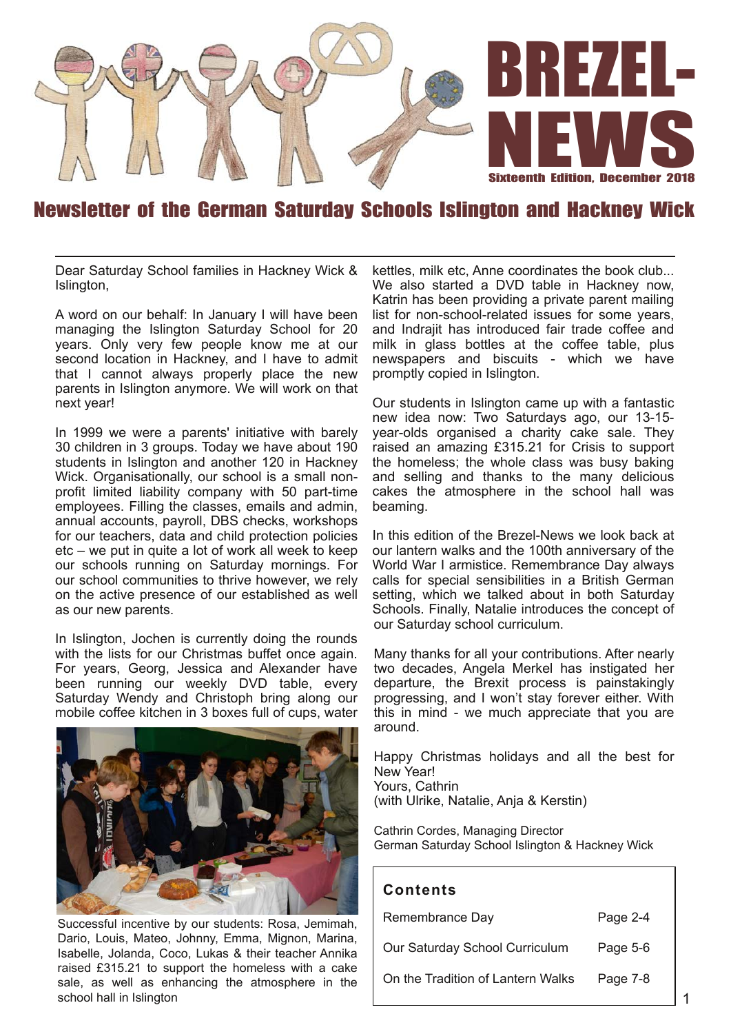

# Newsletter of the German Saturday Schools Islington and Hackney Wick

Dear Saturday School families in Hackney Wick & Islington,

A word on our behalf: In January I will have been managing the Islington Saturday School for 20 years. Only very few people know me at our second location in Hackney, and I have to admit that I cannot always properly place the new parents in Islington anymore. We will work on that next year!

In 1999 we were a parents' initiative with barely 30 children in 3 groups. Today we have about 190 students in Islington and another 120 in Hackney Wick. Organisationally, our school is a small nonprofit limited liability company with 50 part-time employees. Filling the classes, emails and admin, annual accounts, payroll, DBS checks, workshops for our teachers, data and child protection policies etc – we put in quite a lot of work all week to keep our schools running on Saturday mornings. For our school communities to thrive however, we rely on the active presence of our established as well as our new parents.

In Islington, Jochen is currently doing the rounds with the lists for our Christmas buffet once again. For years, Georg, Jessica and Alexander have been running our weekly DVD table, every Saturday Wendy and Christoph bring along our mobile coffee kitchen in 3 boxes full of cups, water



Successful incentive by our students: Rosa, Jemimah, Dario, Louis, Mateo, Johnny, Emma, Mignon, Marina, Isabelle, Jolanda, Coco, Lukas & their teacher Annika raised £315.21 to support the homeless with a cake sale, as well as enhancing the atmosphere in the school hall in Islington

kettles, milk etc, Anne coordinates the book club... We also started a DVD table in Hackney now, Katrin has been providing a private parent mailing list for non-school-related issues for some years, and Indrajit has introduced fair trade coffee and milk in glass bottles at the coffee table, plus newspapers and biscuits - which we have promptly copied in Islington.

Our students in Islington came up with a fantastic new idea now: Two Saturdays ago, our 13-15 year-olds organised a charity cake sale. They raised an amazing £315.21 for Crisis to support the homeless; the whole class was busy baking and selling and thanks to the many delicious cakes the atmosphere in the school hall was beaming.

In this edition of the Brezel-News we look back at our lantern walks and the 100th anniversary of the World War I armistice. Remembrance Day always calls for special sensibilities in a British German setting, which we talked about in both Saturday Schools. Finally, Natalie introduces the concept of our Saturday school curriculum.

Many thanks for all your contributions. After nearly two decades, Angela Merkel has instigated her departure, the Brexit process is painstakingly progressing, and I won't stay forever either. With this in mind - we much appreciate that you are around.

Happy Christmas holidays and all the best for New Year! Yours, Cathrin (with Ulrike, Natalie, Anja & Kerstin)

Cathrin Cordes, Managing Director German Saturday School Islington & Hackney Wick

#### **Con ten ts**

| Remembrance Day                   | Page 2-4 |
|-----------------------------------|----------|
| Our Saturday School Curriculum    | Page 5-6 |
| On the Tradition of Lantern Walks | Page 7-8 |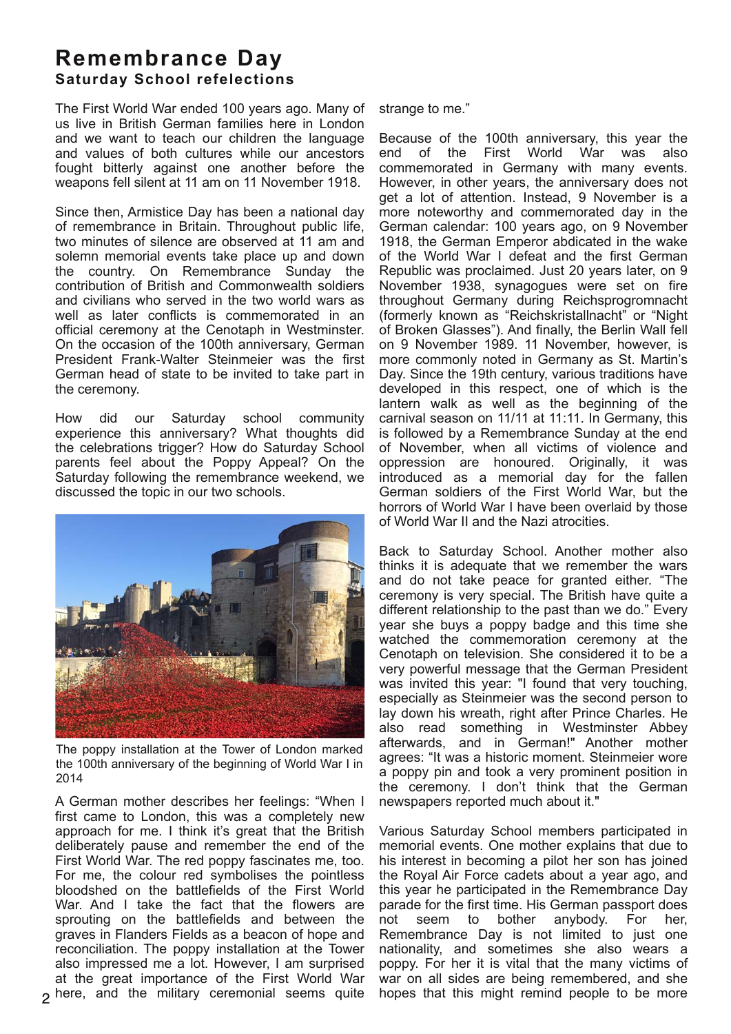## **Remembrance Day Saturday School refelections**

The First World War ended 100 years ago. Many of us live in British German families here in London and we want to teach our children the language and values of both cultures while our ancestors fought bitterly against one another before the weapons fell silent at 11 am on 11 November 1918.

Since then, Armistice Day has been a national day of remembrance in Britain. Throughout public life, two minutes of silence are observed at 11 am and solemn memorial events take place up and down the country. On Remembrance Sunday the contribution of British and Commonwealth soldiers and civilians who served in the two world wars as well as later conflicts is commemorated in an official ceremony at the Cenotaph in Westminster. On the occasion of the 100th anniversary, German President Frank-Walter Steinmeier was the first German head of state to be invited to take part in the ceremony.

How did our Saturday school community experience this anniversary? What thoughts did the celebrations trigger? How do Saturday School parents feel about the Poppy Appeal? On the Saturday following the remembrance weekend, we discussed the topic in our two schools.



The poppy installation at the Tower of London marked the 100th anniversary of the beginning of World War I in 2014

A German mother describes her feelings: "When I first came to London, this was a completely new approach for me. I think it's great that the British deliberately pause and remember the end of the First World War. The red poppy fascinates me, too. For me, the colour red symbolises the pointless bloodshed on the battlefields of the First World War. And I take the fact that the flowers are sprouting on the battlefields and between the graves in Flanders Fields as a beacon of hope and reconciliation. The poppy installation at the Tower also impressed me a lot. However, I am surprised at the great importance of the First World War here, and the military ceremonial seems quite

strange to me."

Because of the 100th anniversary, this year the of the First World War was commemorated in Germany with many events. However, in other years, the anniversary does not get a lot of attention. Instead, 9 November is a more noteworthy and commemorated day in the German calendar: 100 years ago, on 9 November 1918, the German Emperor abdicated in the wake of the World War I defeat and the first German Republic was proclaimed. Just 20 years later, on 9 November 1938, synagogues were set on fire throughout Germany during Reichsprogromnacht (formerly known as "Reichskristallnacht" or "Night of Broken Glasses"). And finally, the Berlin Wall fell on 9 November 1989. 11 November, however, is more commonly noted in Germany as St. Martin's Day. Since the 19th century, various traditions have developed in this respect, one of which is the lantern walk as well as the beginning of the carnival season on 11/11 at 11:11. In Germany, this is followed by a Remembrance Sunday at the end of November, when all victims of violence and oppression are honoured. Originally, it was introduced as a memorial day for the fallen German soldiers of the First World War, but the horrors of World War I have been overlaid by those of World War II and the Nazi atrocities.

Back to Saturday School. Another mother also thinks it is adequate that we remember the wars and do not take peace for granted either. "The ceremony is very special. The British have quite a different relationship to the past than we do." Every year she buys a poppy badge and this time she watched the commemoration ceremony at the Cenotaph on television. She considered it to be a very powerful message that the German President was invited this year: "I found that very touching, especially as Steinmeier was the second person to lay down his wreath, right after Prince Charles. He also read something in Westminster Abbey afterwards, and in German!" Another mother agrees: "It was a historic moment. Steinmeier wore a poppy pin and took a very prominent position in the ceremony. I don't think that the German newspapers reported much about it."

Various Saturday School members participated in memorial events. One mother explains that due to his interest in becoming a pilot her son has joined the Royal Air Force cadets about a year ago, and this year he participated in the Remembrance Day parade for the first time. His German passport does not seem to bother anybody. For her, Remembrance Day is not limited to just one nationality, and sometimes she also wears a poppy. For her it is vital that the many victims of war on all sides are being remembered, and she hopes that this might remind people to be more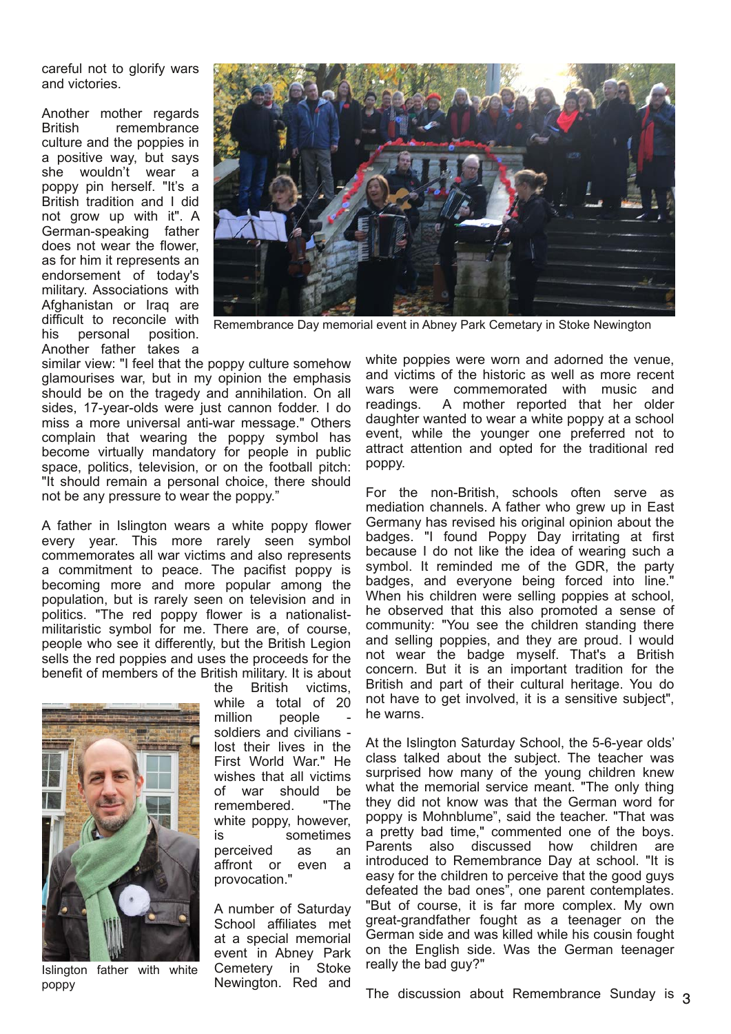careful not to glorify wars and victories.

Another mother regards British remembrance culture and the poppies in a positive way, but says she wouldn't wear a poppy pin herself. "It's a British tradition and I did not grow up with it". A German-speaking father does not wear the flower, as for him it represents an endorsement of today's military. Associations with Afghanistan or Iraq are difficult to reconcile with his personal position. Another father takes a



Remembrance Day memorial event in Abney Park Cemetary in Stoke Newington

similar view: "I feel that the poppy culture somehow glamourises war, but in my opinion the emphasis should be on the tragedy and annihilation. On all sides, 17-year-olds were just cannon fodder. I do miss a more universal anti-war message." Others complain that wearing the poppy symbol has become virtually mandatory for people in public space, politics, television, or on the football pitch: "It should remain a personal choice, there should not be any pressure to wear the poppy."

A father in Islington wears a white poppy flower every year. This more rarely seen symbol commemorates all war victims and also represents a commitment to peace. The pacifist poppy is becoming more and more popular among the population, but is rarely seen on television and in politics. "The red poppy flower is a nationalistmilitaristic symbol for me. There are, of course, people who see it differently, but the British Legion sells the red poppies and uses the proceeds for the benefit of members of the British military. It is about



Islington father with white poppy

the British victims, while a total of 20 million people soldiers and civilians lost their lives in the First World War." He wishes that all victims of war should be<br>remembered. "The remembered. white poppy, however, is sometimes perceived as an<br>affront or even a affront or provocation."

A number of Saturday School affiliates met at a special memorial event in Abney Park Cemetery in Stoke Newington. Red and

white poppies were worn and adorned the venue, and victims of the historic as well as more recent wars were commemorated with music and readings. A mother reported that her older daughter wanted to wear a white poppy at a school event, while the younger one preferred not to attract attention and opted for the traditional red poppy.

For the non-British, schools often serve as mediation channels. A father who grew up in East Germany has revised his original opinion about the badges. "I found Poppy Day irritating at first because I do not like the idea of wearing such a symbol. It reminded me of the GDR, the party badges, and everyone being forced into line." When his children were selling poppies at school, he observed that this also promoted a sense of community: "You see the children standing there and selling poppies, and they are proud. I would not wear the badge myself. That's a British concern. But it is an important tradition for the British and part of their cultural heritage. You do not have to get involved, it is a sensitive subject", he warns.

At the Islington Saturday School, the 5-6-year olds' class talked about the subject. The teacher was surprised how many of the young children knew what the memorial service meant. "The only thing they did not know was that the German word for poppy is Mohnblume", said the teacher. "That was a pretty bad time," commented one of the boys. Parents also discussed how children are introduced to Remembrance Day at school. "It is easy for the children to perceive that the good guys defeated the bad ones", one parent contemplates. "But of course, it is far more complex. My own great-grandfather fought as a teenager on the German side and was killed while his cousin fought on the English side. Was the German teenager really the bad guy?"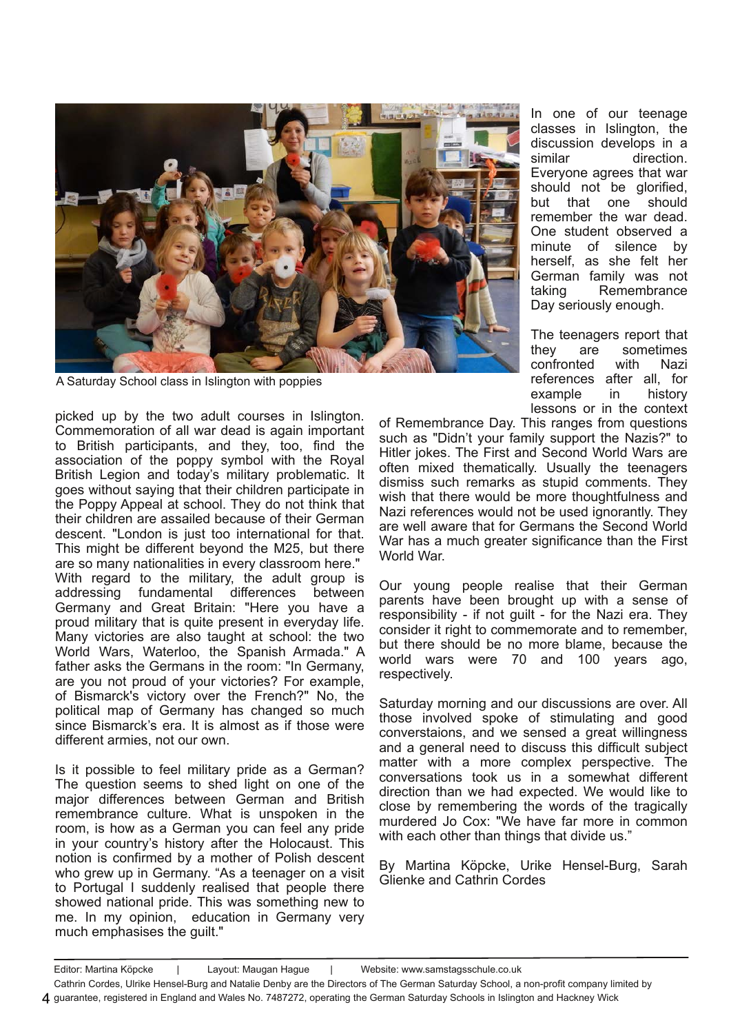

A Saturday School class in Islington with poppies

picked up by the two adult courses in Islington. Commemoration of all war dead is again important to British participants, and they, too, find the association of the poppy symbol with the Royal British Legion and today's military problematic. It goes without saying that their children participate in the Poppy Appeal at school. They do not think that their children are assailed because of their German descent. "London is just too international for that. This might be different beyond the M25, but there are so many nationalities in every classroom here." With regard to the military, the adult group is addressing fundamental differences between Germany and Great Britain: "Here you have a proud military that is quite present in everyday life. Many victories are also taught at school: the two World Wars, Waterloo, the Spanish Armada." A father asks the Germans in the room: "In Germany, are you not proud of your victories? For example, of Bismarck's victory over the French?" No, the political map of Germany has changed so much since Bismarck's era. It is almost as if those were different armies, not our own.

Is it possible to feel military pride as a German? The question seems to shed light on one of the major differences between German and British remembrance culture. What is unspoken in the room, is how as a German you can feel any pride in your country's history after the Holocaust. This notion is confirmed by a mother of Polish descent who grew up in Germany. "As a teenager on a visit to Portugal I suddenly realised that people there showed national pride. This was something new to me. In my opinion, education in Germany very much emphasises the guilt."

In one of our teenage classes in Islington, the discussion develops in a similar direction. Everyone agrees that war should not be glorified, but that one should remember the war dead. One student observed a minute of silence by herself, as she felt her German family was not taking Remembrance Day seriously enough.

The teenagers report that they are sometimes confronted with Nazi references after all, for example in history lessons or in the context

of Remembrance Day. This ranges from questions such as "Didn't your family support the Nazis?" to Hitler jokes. The First and Second World Wars are often mixed thematically. Usually the teenagers dismiss such remarks as stupid comments. They wish that there would be more thoughtfulness and Nazi references would not be used ignorantly. They are well aware that for Germans the Second World War has a much greater significance than the First World War.

Our young people realise that their German parents have been brought up with a sense of responsibility - if not guilt - for the Nazi era. They consider it right to commemorate and to remember, but there should be no more blame, because the world wars were 70 and 100 years ago, respectively.

Saturday morning and our discussions are over. All those involved spoke of stimulating and good converstaions, and we sensed a great willingness and a general need to discuss this difficult subject matter with a more complex perspective. The conversations took us in a somewhat different direction than we had expected. We would like to close by remembering the words of the tragically murdered Jo Cox: "We have far more in common with each other than things that divide us."

By Martina Köpcke, Urike Hensel-Burg, Sarah Glienke and Cathrin Cordes

Editor: Martina Köpcke | Layout: Maugan Hague | Website: www.samstagsschule.co.uk

Cathrin Cordes, Ulrike Hensel-Burg and Natalie Denby are the Directors of The German Saturday School, a non-profit company limited by guarantee, registered in England and Wales No. 7487272, operating the German Saturday Schools in Islington and Hackney Wick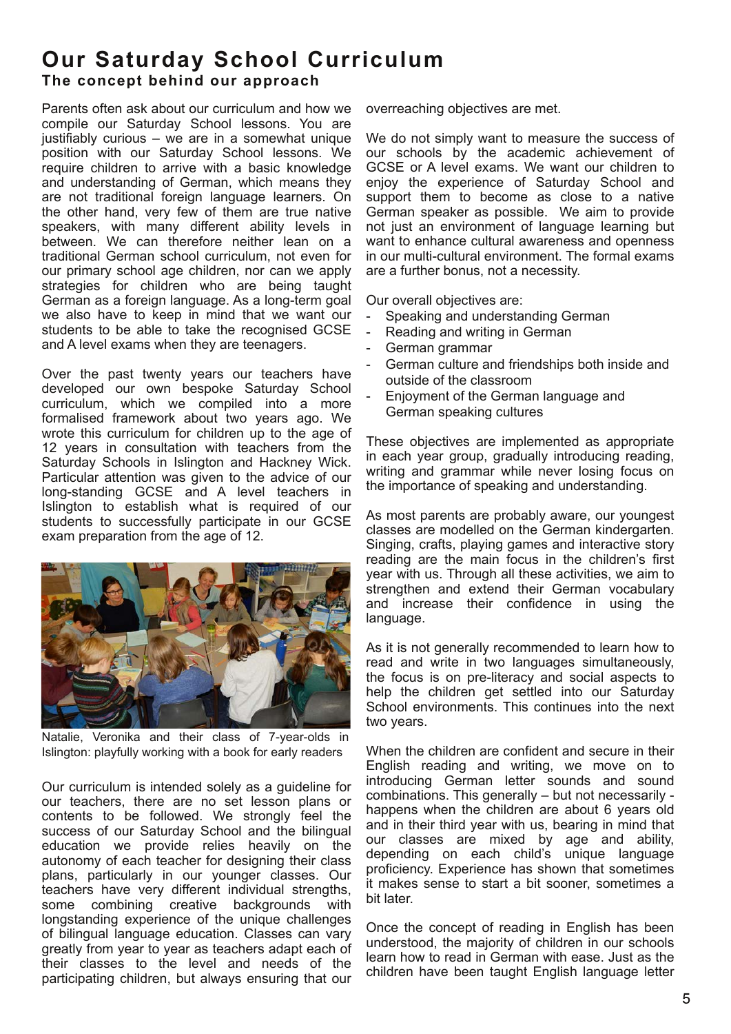### **Our Saturday School Curriculum** The concept behind our approach

Parents often ask about our curriculum and how we compile our Saturday School lessons. You are justifiably curious – we are in a somewhat unique position with our Saturday School lessons. We require children to arrive with a basic knowledge and understanding of German, which means they are not traditional foreign language learners. On the other hand, very few of them are true native speakers, with many different ability levels in between. We can therefore neither lean on a traditional German school curriculum, not even for our primary school age children, nor can we apply strategies for children who are being taught German as a foreign language. As a long-term goal we also have to keep in mind that we want our students to be able to take the recognised GCSE and A level exams when they are teenagers.

Over the past twenty years our teachers have developed our own bespoke Saturday School curriculum, which we compiled into a more formalised framework about two years ago. We wrote this curriculum for children up to the age of 12 years in consultation with teachers from the Saturday Schools in Islington and Hackney Wick. Particular attention was given to the advice of our long-standing GCSE and A level teachers in Islington to establish what is required of our students to successfully participate in our GCSE exam preparation from the age of 12.



Natalie, Veronika and their class of 7-year-olds in Islington: playfully working with a book for early readers

Our curriculum is intended solely as a guideline for our teachers, there are no set lesson plans or contents to be followed. We strongly feel the success of our Saturday School and the bilingual education we provide relies heavily on the autonomy of each teacher for designing their class plans, particularly in our younger classes. Our teachers have very different individual strengths, some combining creative backgrounds with longstanding experience of the unique challenges of bilingual language education. Classes can vary greatly from year to year as teachers adapt each of their classes to the level and needs of the participating children, but always ensuring that our

overreaching objectives are met.

We do not simply want to measure the success of our schools by the academic achievement of GCSE or A level exams. We want our children to enjoy the experience of Saturday School and support them to become as close to a native German speaker as possible. We aim to provide not just an environment of language learning but want to enhance cultural awareness and openness in our multi-cultural environment. The formal exams are a further bonus, not a necessity.

Our overall objectives are:

- Speaking and understanding German
- Reading and writing in German
	- German grammar
- German culture and friendships both inside and outside of the classroom
- Enjoyment of the German language and German speaking cultures

These objectives are implemented as appropriate in each year group, gradually introducing reading, writing and grammar while never losing focus on the importance of speaking and understanding.

As most parents are probably aware, our youngest classes are modelled on the German kindergarten. Singing, crafts, playing games and interactive story reading are the main focus in the children's first year with us. Through all these activities, we aim to strengthen and extend their German vocabulary and increase their confidence in using the language.

As it is not generally recommended to learn how to read and write in two languages simultaneously, the focus is on pre-literacy and social aspects to help the children get settled into our Saturday School environments. This continues into the next two years.

When the children are confident and secure in their English reading and writing, we move on to introducing German letter sounds and sound combinations. This generally – but not necessarily happens when the children are about 6 years old and in their third year with us, bearing in mind that our classes are mixed by age and ability, depending on each child's unique language proficiency. Experience has shown that sometimes it makes sense to start a bit sooner, sometimes a bit later.

Once the concept of reading in English has been understood, the majority of children in our schools learn how to read in German with ease. Just as the children have been taught English language letter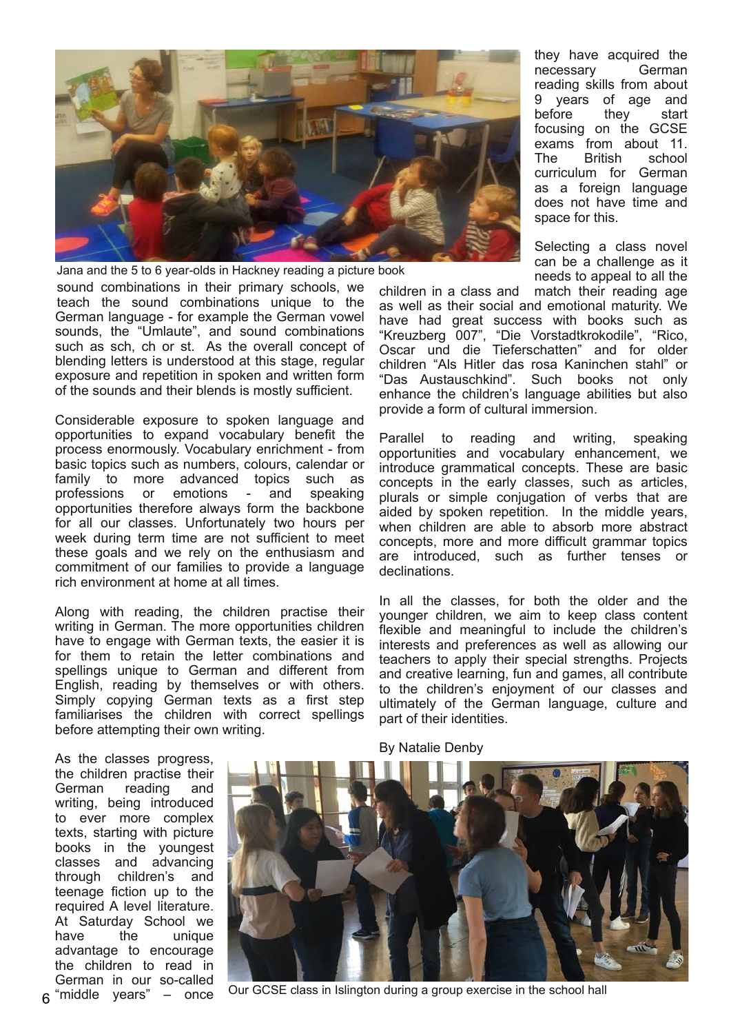

sound combinations in their primary schools, we teach the sound combinations unique to the German language - for example the German vowel sounds, the "Umlaute", and sound combinations such as sch, ch or st. As the overall concept of blending letters is understood at this stage, regular exposure and repetition in spoken and written form of the sounds and their blends is mostly sufficient. Jana and the 5 to 6 year-olds in Hackney reading a picture book

Considerable exposure to spoken language and opportunities to expand vocabulary benefit the process enormously. Vocabulary enrichment - from basic topics such as numbers, colours, calendar or family to more advanced topics such as<br>professions or emotions - and speaking professions or emotions - and opportunities therefore always form the backbone for all our classes. Unfortunately two hours per week during term time are not sufficient to meet these goals and we rely on the enthusiasm and commitment of our families to provide a language rich environment at home at all times.

Along with reading, the children practise their writing in German. The more opportunities children have to engage with German texts, the easier it is for them to retain the letter combinations and spellings unique to German and different from English, reading by themselves or with others. Simply copying German texts as a first step familiarises the children with correct spellings before attempting their own writing.

they have acquired the necessary German reading skills from about 9 years of age and before they start focusing on the GCSE exams from about 11. The British school curriculum for German as a foreign language does not have time and space for this.

Selecting a class novel can be a challenge as it needs to appeal to all the

children in a class and match their reading age as well as their social and emotional maturity. We have had great success with books such as "Kreuzberg 007", "Die Vorstadtkrokodile", "Rico, Oscar und die Tieferschatten" and for older children "Als Hitler das rosa Kaninchen stahl" or "Das Austauschkind". Such books not only enhance the children's language abilities but also provide a form of cultural immersion.

Parallel to reading and writing, speaking opportunities and vocabulary enhancement, we introduce grammatical concepts. These are basic concepts in the early classes, such as articles, plurals or simple conjugation of verbs that are aided by spoken repetition. In the middle years, when children are able to absorb more abstract concepts, more and more difficult grammar topics are introduced, such as further tenses or declinations.

In all the classes, for both the older and the younger children, we aim to keep class content flexible and meaningful to include the children's interests and preferences as well as allowing our teachers to apply their special strengths. Projects and creative learning, fun and games, all contribute to the children's enjoyment of our classes and ultimately of the German language, culture and part of their identities.

As the classes progress, the children practise their German reading and writing, being introduced to ever more complex texts, starting with picture books in the youngest classes and advancing through children's and teenage fiction up to the required A level literature. At Saturday School we<br>have the unique have the unique advantage to encourage the children to read in German in our so-called  $\kappa$  "middle years" – once



Our GCSE class in Islington during a group exercise in the school hall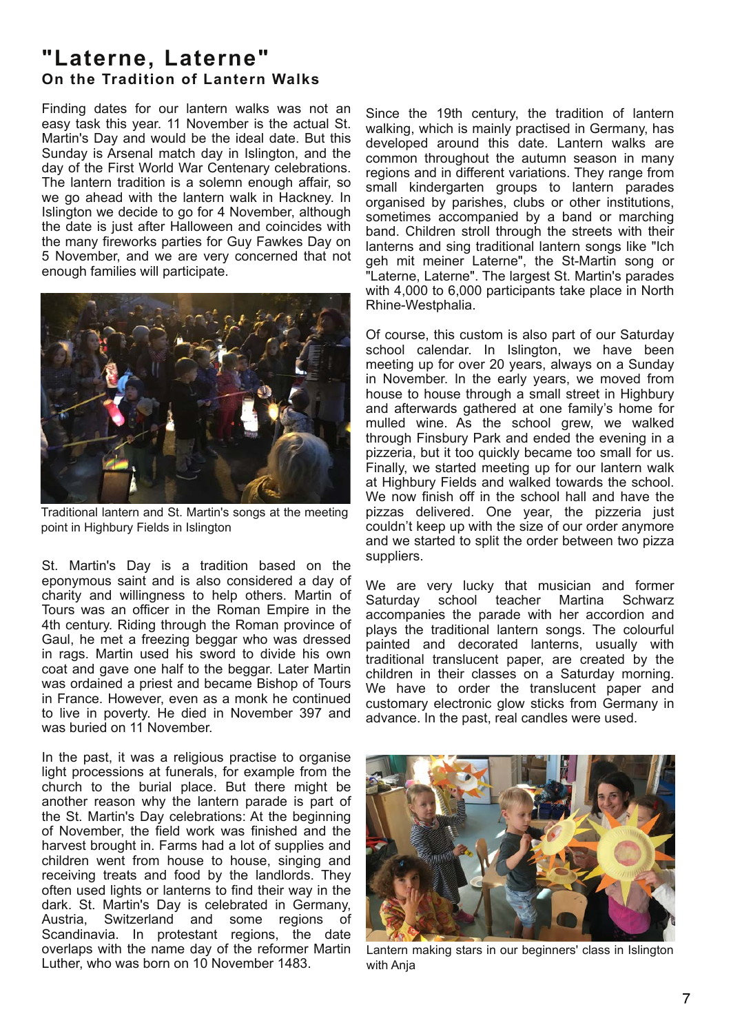# **"La terne, La terne" On the Tradition of Lantern Walks**

Finding dates for our lantern walks was not an easy task this year. 11 November is the actual St. Martin's Day and would be the ideal date. But this Sunday is Arsenal match day in Islington, and the day of the First World War Centenary celebrations. The lantern tradition is a solemn enough affair, so we go ahead with the lantern walk in Hackney. In Islington we decide to go for 4 November, although the date is just after Halloween and coincides with the many fireworks parties for Guy Fawkes Day on 5 November, and we are very concerned that not enough families will participate.



Traditional lantern and St. Martin's songs at the meeting point in Highbury Fields in Islington

St. Martin's Day is a tradition based on the eponymous saint and is also considered a day of charity and willingness to help others. Martin of Tours was an officer in the Roman Empire in the 4th century. Riding through the Roman province of Gaul, he met a freezing beggar who was dressed in rags. Martin used his sword to divide his own coat and gave one half to the beggar. Later Martin was ordained a priest and became Bishop of Tours in France. However, even as a monk he continued to live in poverty. He died in November 397 and was buried on 11 November.

In the past, it was a religious practise to organise light processions at funerals, for example from the church to the burial place. But there might be another reason why the lantern parade is part of the St. Martin's Day celebrations: At the beginning of November, the field work was finished and the harvest brought in. Farms had a lot of supplies and children went from house to house, singing and receiving treats and food by the landlords. They often used lights or lanterns to find their way in the dark. St. Martin's Day is celebrated in Germany, Austria, Switzerland and some regions of Scandinavia. In protestant regions, the date overlaps with the name day of the reformer Martin Luther, who was born on 10 November 1483.

Since the 19th century, the tradition of lantern walking, which is mainly practised in Germany, has developed around this date. Lantern walks are common throughout the autumn season in many regions and in different variations. They range from small kindergarten groups to lantern parades organised by parishes, clubs or other institutions, sometimes accompanied by a band or marching band. Children stroll through the streets with their lanterns and sing traditional lantern songs like "Ich geh mit meiner Laterne", the St-Martin song or "Laterne, Laterne". The largest St. Martin's parades with 4,000 to 6,000 participants take place in North Rhine-Westphalia.

Of course, this custom is also part of our Saturday school calendar. In Islington, we have been meeting up for over 20 years, always on a Sunday in November. In the early years, we moved from house to house through a small street in Highbury and afterwards gathered at one family's home for mulled wine. As the school grew, we walked through Finsbury Park and ended the evening in a pizzeria, but it too quickly became too small for us. Finally, we started meeting up for our lantern walk at Highbury Fields and walked towards the school. We now finish off in the school hall and have the pizzas delivered. One year, the pizzeria just couldn't keep up with the size of our order anymore and we started to split the order between two pizza suppliers.

We are very lucky that musician and former<br>Saturdav school teacher Martina Schwarz school teacher Martina Schwarz accompanies the parade with her accordion and plays the traditional lantern songs. The colourful painted and decorated lanterns, usually with traditional translucent paper, are created by the children in their classes on a Saturday morning. We have to order the translucent paper and customary electronic glow sticks from Germany in advance. In the past, real candles were used.



Lantern making stars in our beginners' class in Islington with Ania